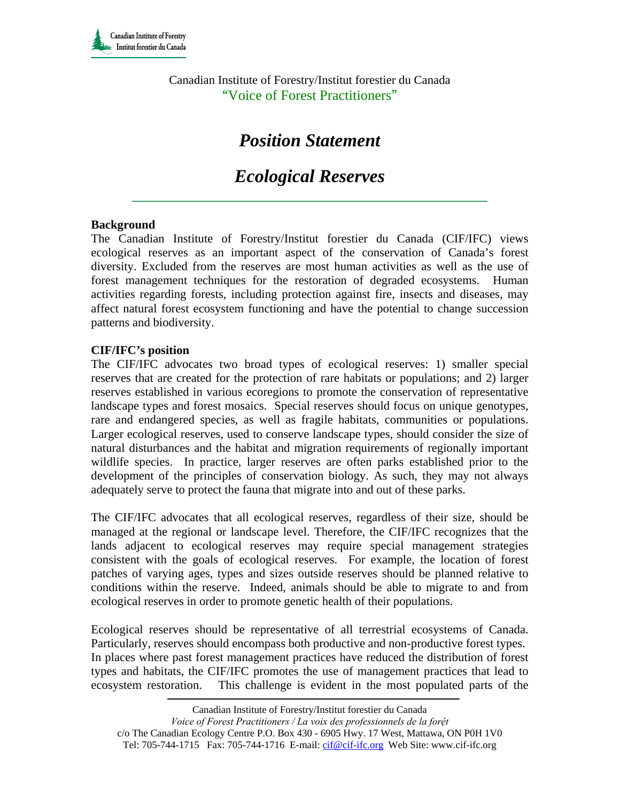Canadian Institute of Forestry/Institut forestier du Canada "Voice of Forest Practitioners"

# *Position Statement*

## *Ecological Reserves*

### **Background**

The Canadian Institute of Forestry/Institut forestier du Canada (CIF/IFC) views ecological reserves as an important aspect of the conservation of Canada's forest diversity. Excluded from the reserves are most human activities as well as the use of forest management techniques for the restoration of degraded ecosystems. Human activities regarding forests, including protection against fire, insects and diseases, may affect natural forest ecosystem functioning and have the potential to change succession patterns and biodiversity.

### **CIF/IFC's position**

The CIF/IFC advocates two broad types of ecological reserves: 1) smaller special reserves that are created for the protection of rare habitats or populations; and 2) larger reserves established in various ecoregions to promote the conservation of representative landscape types and forest mosaics. Special reserves should focus on unique genotypes, rare and endangered species, as well as fragile habitats, communities or populations. Larger ecological reserves, used to conserve landscape types, should consider the size of natural disturbances and the habitat and migration requirements of regionally important wildlife species. In practice, larger reserves are often parks established prior to the development of the principles of conservation biology. As such, they may not always adequately serve to protect the fauna that migrate into and out of these parks.

The CIF/IFC advocates that all ecological reserves, regardless of their size, should be managed at the regional or landscape level. Therefore, the CIF/IFC recognizes that the lands adjacent to ecological reserves may require special management strategies consistent with the goals of ecological reserves. For example, the location of forest patches of varying ages, types and sizes outside reserves should be planned relative to conditions within the reserve. Indeed, animals should be able to migrate to and from ecological reserves in order to promote genetic health of their populations.

Ecological reserves should be representative of all terrestrial ecosystems of Canada. Particularly, reserves should encompass both productive and non-productive forest types. In places where past forest management practices have reduced the distribution of forest types and habitats, the CIF/IFC promotes the use of management practices that lead to ecosystem restoration. This challenge is evident in the most populated parts of the